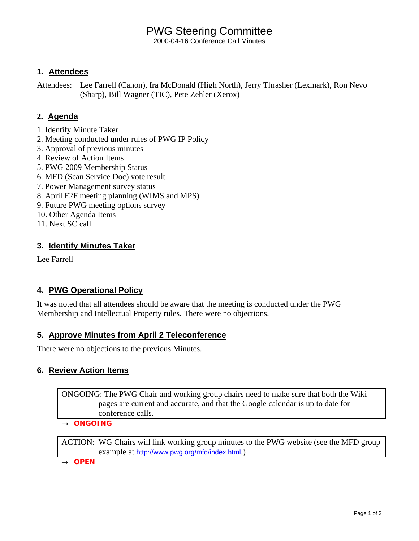# PWG Steering Committee

2000-04-16 Conference Call Minutes

### **1. Attendees**

Attendees: Lee Farrell (Canon), Ira McDonald (High North), Jerry Thrasher (Lexmark), Ron Nevo (Sharp), Bill Wagner (TIC), Pete Zehler (Xerox)

## **2. Agenda**

- 1. Identify Minute Taker
- 2. Meeting conducted under rules of PWG IP Policy
- 3. Approval of previous minutes
- 4. Review of Action Items
- 5. PWG 2009 Membership Status
- 6. MFD (Scan Service Doc) vote result
- 7. Power Management survey status
- 8. April F2F meeting planning (WIMS and MPS)
- 9. Future PWG meeting options survey
- 10. Other Agenda Items
- 11. Next SC call

## **3. Identify Minutes Taker**

Lee Farrell

## **4. PWG Operational Policy**

It was noted that all attendees should be aware that the meeting is conducted under the PWG Membership and Intellectual Property rules. There were no objections.

## **5. Approve Minutes from April 2 Teleconference**

There were no objections to the previous Minutes.

## **6. Review Action Items**

ONGOING: The PWG Chair and working group chairs need to make sure that both the Wiki pages are current and accurate, and that the Google calendar is up to date for conference calls.

#### → *ONGOING*

ACTION: WG Chairs will link working group minutes to the PWG website (see the MFD group example at <http://www.pwg.org/mfd/index.html>.)

#### → *OPEN*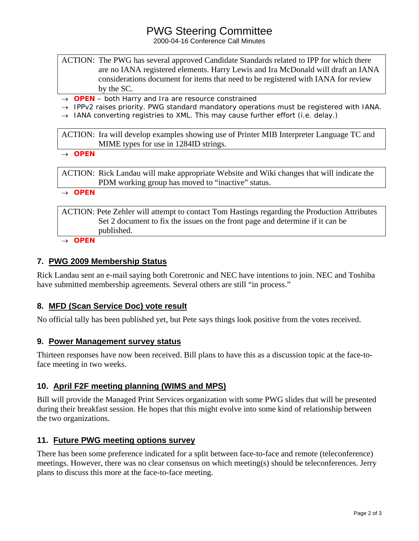# PWG Steering Committee

2000-04-16 Conference Call Minutes

- ACTION: The PWG has several approved Candidate Standards related to IPP for which there are no IANA registered elements. Harry Lewis and Ira McDonald will draft an IANA considerations document for items that need to be registered with IANA for review by the SC.
- → *OPEN both Harry and Ira are resource constrained*
- → *IPPv2 raises priority. PWG standard mandatory operations must be registered with IANA.*
- → *IANA converting registries to XML. This may cause further effort (i.e. delay.)*

ACTION: Ira will develop examples showing use of Printer MIB Interpreter Language TC and MIME types for use in 1284ID strings.

→ *OPEN* 

ACTION: Rick Landau will make appropriate Website and Wiki changes that will indicate the PDM working group has moved to "inactive" status.

→ *OPEN*

ACTION: Pete Zehler will attempt to contact Tom Hastings regarding the Production Attributes Set 2 document to fix the issues on the front page and determine if it can be published.

→ *OPEN*

### **7. PWG 2009 Membership Status**

Rick Landau sent an e-mail saying both Coretronic and NEC have intentions to join. NEC and Toshiba have submitted membership agreements. Several others are still "in process."

## **8. MFD (Scan Service Doc) vote result**

No official tally has been published yet, but Pete says things look positive from the votes received.

### **9. Power Management survey status**

Thirteen responses have now been received. Bill plans to have this as a discussion topic at the face-toface meeting in two weeks.

### **10. April F2F meeting planning (WIMS and MPS)**

Bill will provide the Managed Print Services organization with some PWG slides that will be presented during their breakfast session. He hopes that this might evolve into some kind of relationship between the two organizations.

### **11. Future PWG meeting options survey**

There has been some preference indicated for a split between face-to-face and remote (teleconference) meetings. However, there was no clear consensus on which meeting(s) should be teleconferences. Jerry plans to discuss this more at the face-to-face meeting.